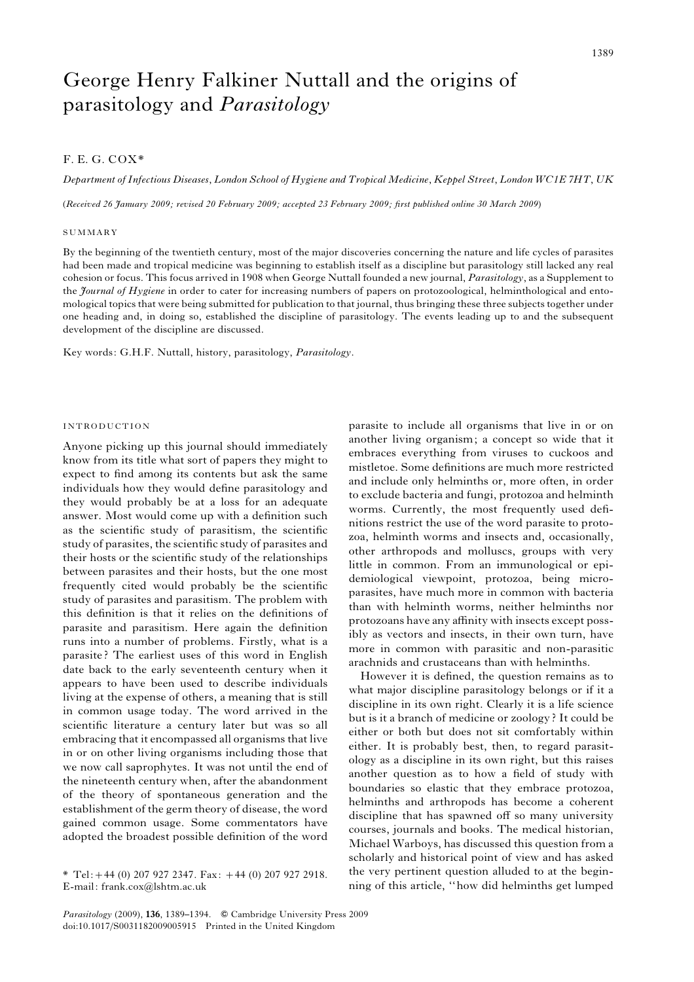# George Henry Falkiner Nuttall and the origins of parasitology and Parasitology

## F. E. G. COX\*

Department of Infectious Diseases, London School of Hygiene and Tropical Medicine, Keppel Street, London WC1E 7HT, UK

(Received 26 January 2009; revised 20 February 2009; accepted 23 February 2009; first published online 30 March 2009)

#### SUMMARY

By the beginning of the twentieth century, most of the major discoveries concerning the nature and life cycles of parasites had been made and tropical medicine was beginning to establish itself as a discipline but parasitology still lacked any real cohesion or focus. This focus arrived in 1908 when George Nuttall founded a new journal, Parasitology, as a Supplement to the *Journal of Hygiene* in order to cater for increasing numbers of papers on protozoological, helminthological and entomological topics that were being submitted for publication to that journal, thus bringing these three subjects together under one heading and, in doing so, established the discipline of parasitology. The events leading up to and the subsequent development of the discipline are discussed.

Key words: G.H.F. Nuttall, history, parasitology, Parasitology.

## INTRODUCTION

Anyone picking up this journal should immediately know from its title what sort of papers they might to expect to find among its contents but ask the same individuals how they would define parasitology and they would probably be at a loss for an adequate answer. Most would come up with a definition such as the scientific study of parasitism, the scientific study of parasites, the scientific study of parasites and their hosts or the scientific study of the relationships between parasites and their hosts, but the one most frequently cited would probably be the scientific study of parasites and parasitism. The problem with this definition is that it relies on the definitions of parasite and parasitism. Here again the definition runs into a number of problems. Firstly, what is a parasite? The earliest uses of this word in English date back to the early seventeenth century when it appears to have been used to describe individuals living at the expense of others, a meaning that is still in common usage today. The word arrived in the scientific literature a century later but was so all embracing that it encompassed all organisms that live in or on other living organisms including those that we now call saprophytes. It was not until the end of the nineteenth century when, after the abandonment of the theory of spontaneous generation and the establishment of the germ theory of disease, the word gained common usage. Some commentators have adopted the broadest possible definition of the word

\* Tel: +44 (0) 207 927 2347. Fax: +44 (0) 207 927 2918. E-mail: frank.cox@lshtm.ac.uk

parasite to include all organisms that live in or on another living organism; a concept so wide that it embraces everything from viruses to cuckoos and mistletoe. Some definitions are much more restricted and include only helminths or, more often, in order to exclude bacteria and fungi, protozoa and helminth worms. Currently, the most frequently used definitions restrict the use of the word parasite to protozoa, helminth worms and insects and, occasionally, other arthropods and molluscs, groups with very little in common. From an immunological or epidemiological viewpoint, protozoa, being microparasites, have much more in common with bacteria than with helminth worms, neither helminths nor protozoans have any affinity with insects except possibly as vectors and insects, in their own turn, have more in common with parasitic and non-parasitic arachnids and crustaceans than with helminths.

However it is defined, the question remains as to what major discipline parasitology belongs or if it a discipline in its own right. Clearly it is a life science but is it a branch of medicine or zoology ? It could be either or both but does not sit comfortably within either. It is probably best, then, to regard parasitology as a discipline in its own right, but this raises another question as to how a field of study with boundaries so elastic that they embrace protozoa, helminths and arthropods has become a coherent discipline that has spawned off so many university courses, journals and books. The medical historian, Michael Warboys, has discussed this question from a scholarly and historical point of view and has asked the very pertinent question alluded to at the beginning of this article, ''how did helminths get lumped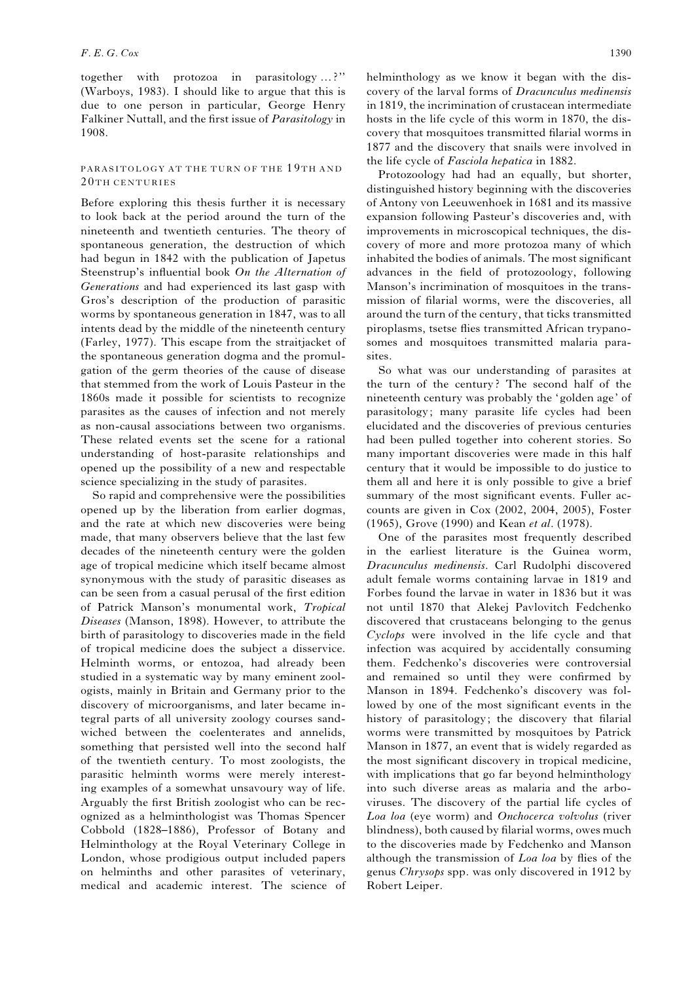together with protozoa in parasitology …?'' (Warboys, 1983). I should like to argue that this is due to one person in particular, George Henry Falkiner Nuttall, and the first issue of Parasitology in 1908.

## PARASITOLOGY AT THE TURN OF THE 19TH AND 20TH CENTURIES

Before exploring this thesis further it is necessary to look back at the period around the turn of the nineteenth and twentieth centuries. The theory of spontaneous generation, the destruction of which had begun in 1842 with the publication of Japetus Steenstrup's influential book On the Alternation of Generations and had experienced its last gasp with Gros's description of the production of parasitic worms by spontaneous generation in 1847, was to all intents dead by the middle of the nineteenth century (Farley, 1977). This escape from the straitjacket of the spontaneous generation dogma and the promulgation of the germ theories of the cause of disease that stemmed from the work of Louis Pasteur in the 1860s made it possible for scientists to recognize parasites as the causes of infection and not merely as non-causal associations between two organisms. These related events set the scene for a rational understanding of host-parasite relationships and opened up the possibility of a new and respectable science specializing in the study of parasites.

So rapid and comprehensive were the possibilities opened up by the liberation from earlier dogmas, and the rate at which new discoveries were being made, that many observers believe that the last few decades of the nineteenth century were the golden age of tropical medicine which itself became almost synonymous with the study of parasitic diseases as can be seen from a casual perusal of the first edition of Patrick Manson's monumental work, Tropical Diseases (Manson, 1898). However, to attribute the birth of parasitology to discoveries made in the field of tropical medicine does the subject a disservice. Helminth worms, or entozoa, had already been studied in a systematic way by many eminent zoologists, mainly in Britain and Germany prior to the discovery of microorganisms, and later became integral parts of all university zoology courses sandwiched between the coelenterates and annelids, something that persisted well into the second half of the twentieth century. To most zoologists, the parasitic helminth worms were merely interesting examples of a somewhat unsavoury way of life. Arguably the first British zoologist who can be recognized as a helminthologist was Thomas Spencer Cobbold (1828–1886), Professor of Botany and Helminthology at the Royal Veterinary College in London, whose prodigious output included papers on helminths and other parasites of veterinary, medical and academic interest. The science of

helminthology as we know it began with the discovery of the larval forms of Dracunculus medinensis in 1819, the incrimination of crustacean intermediate hosts in the life cycle of this worm in 1870, the discovery that mosquitoes transmitted filarial worms in 1877 and the discovery that snails were involved in

the life cycle of Fasciola hepatica in 1882. Protozoology had had an equally, but shorter, distinguished history beginning with the discoveries of Antony von Leeuwenhoek in 1681 and its massive expansion following Pasteur's discoveries and, with improvements in microscopical techniques, the discovery of more and more protozoa many of which inhabited the bodies of animals. The most significant advances in the field of protozoology, following Manson's incrimination of mosquitoes in the transmission of filarial worms, were the discoveries, all around the turn of the century, that ticks transmitted piroplasms, tsetse flies transmitted African trypanosomes and mosquitoes transmitted malaria parasites.

So what was our understanding of parasites at the turn of the century ? The second half of the nineteenth century was probably the 'golden age' of parasitology; many parasite life cycles had been elucidated and the discoveries of previous centuries had been pulled together into coherent stories. So many important discoveries were made in this half century that it would be impossible to do justice to them all and here it is only possible to give a brief summary of the most significant events. Fuller accounts are given in Cox (2002, 2004, 2005), Foster (1965), Grove (1990) and Kean et al. (1978).

One of the parasites most frequently described in the earliest literature is the Guinea worm, Dracunculus medinensis. Carl Rudolphi discovered adult female worms containing larvae in 1819 and Forbes found the larvae in water in 1836 but it was not until 1870 that Alekej Pavlovitch Fedchenko discovered that crustaceans belonging to the genus Cyclops were involved in the life cycle and that infection was acquired by accidentally consuming them. Fedchenko's discoveries were controversial and remained so until they were confirmed by Manson in 1894. Fedchenko's discovery was followed by one of the most significant events in the history of parasitology; the discovery that filarial worms were transmitted by mosquitoes by Patrick Manson in 1877, an event that is widely regarded as the most significant discovery in tropical medicine, with implications that go far beyond helminthology into such diverse areas as malaria and the arboviruses. The discovery of the partial life cycles of Loa loa (eye worm) and Onchocerca volvolus (river blindness), both caused by filarial worms, owes much to the discoveries made by Fedchenko and Manson although the transmission of Loa loa by flies of the genus Chrysops spp. was only discovered in 1912 by Robert Leiper.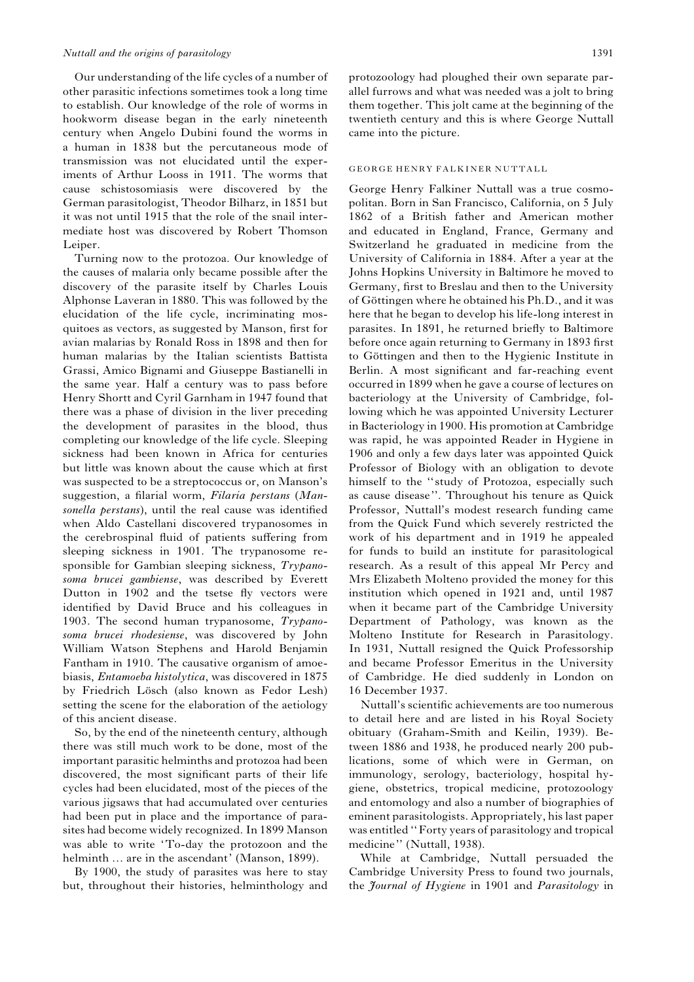Our understanding of the life cycles of a number of other parasitic infections sometimes took a long time to establish. Our knowledge of the role of worms in hookworm disease began in the early nineteenth century when Angelo Dubini found the worms in a human in 1838 but the percutaneous mode of transmission was not elucidated until the experiments of Arthur Looss in 1911. The worms that cause schistosomiasis were discovered by the German parasitologist, Theodor Bilharz, in 1851 but it was not until 1915 that the role of the snail intermediate host was discovered by Robert Thomson Leiper.

Turning now to the protozoa. Our knowledge of the causes of malaria only became possible after the discovery of the parasite itself by Charles Louis Alphonse Laveran in 1880. This was followed by the elucidation of the life cycle, incriminating mosquitoes as vectors, as suggested by Manson, first for avian malarias by Ronald Ross in 1898 and then for human malarias by the Italian scientists Battista Grassi, Amico Bignami and Giuseppe Bastianelli in the same year. Half a century was to pass before Henry Shortt and Cyril Garnham in 1947 found that there was a phase of division in the liver preceding the development of parasites in the blood, thus completing our knowledge of the life cycle. Sleeping sickness had been known in Africa for centuries but little was known about the cause which at first was suspected to be a streptococcus or, on Manson's suggestion, a filarial worm, Filaria perstans (Mansonella perstans), until the real cause was identified when Aldo Castellani discovered trypanosomes in the cerebrospinal fluid of patients suffering from sleeping sickness in 1901. The trypanosome responsible for Gambian sleeping sickness, Trypanosoma brucei gambiense, was described by Everett Dutton in 1902 and the tsetse fly vectors were identified by David Bruce and his colleagues in 1903. The second human trypanosome, Trypanosoma brucei rhodesiense, was discovered by John William Watson Stephens and Harold Benjamin Fantham in 1910. The causative organism of amoebiasis, Entamoeba histolytica, was discovered in 1875 by Friedrich Lösch (also known as Fedor Lesh) setting the scene for the elaboration of the aetiology of this ancient disease.

So, by the end of the nineteenth century, although there was still much work to be done, most of the important parasitic helminths and protozoa had been discovered, the most significant parts of their life cycles had been elucidated, most of the pieces of the various jigsaws that had accumulated over centuries had been put in place and the importance of parasites had become widely recognized. In 1899 Manson was able to write 'To-day the protozoon and the helminth … are in the ascendant' (Manson, 1899).

By 1900, the study of parasites was here to stay but, throughout their histories, helminthology and

protozoology had ploughed their own separate parallel furrows and what was needed was a jolt to bring them together. This jolt came at the beginning of the twentieth century and this is where George Nuttall came into the picture.

#### GEORGE HENRY FALKINER NUTTALL

George Henry Falkiner Nuttall was a true cosmopolitan. Born in San Francisco, California, on 5 July 1862 of a British father and American mother and educated in England, France, Germany and Switzerland he graduated in medicine from the University of California in 1884. After a year at the Johns Hopkins University in Baltimore he moved to Germany, first to Breslau and then to the University of Göttingen where he obtained his Ph.D., and it was here that he began to develop his life-long interest in parasites. In 1891, he returned briefly to Baltimore before once again returning to Germany in 1893 first to Göttingen and then to the Hygienic Institute in Berlin. A most significant and far-reaching event occurred in 1899 when he gave a course of lectures on bacteriology at the University of Cambridge, following which he was appointed University Lecturer in Bacteriology in 1900. His promotion at Cambridge was rapid, he was appointed Reader in Hygiene in 1906 and only a few days later was appointed Quick Professor of Biology with an obligation to devote himself to the '' study of Protozoa, especially such as cause disease''. Throughout his tenure as Quick Professor, Nuttall's modest research funding came from the Quick Fund which severely restricted the work of his department and in 1919 he appealed for funds to build an institute for parasitological research. As a result of this appeal Mr Percy and Mrs Elizabeth Molteno provided the money for this institution which opened in 1921 and, until 1987 when it became part of the Cambridge University Department of Pathology, was known as the Molteno Institute for Research in Parasitology. In 1931, Nuttall resigned the Quick Professorship and became Professor Emeritus in the University of Cambridge. He died suddenly in London on 16 December 1937.

Nuttall's scientific achievements are too numerous to detail here and are listed in his Royal Society obituary (Graham-Smith and Keilin, 1939). Between 1886 and 1938, he produced nearly 200 publications, some of which were in German, on immunology, serology, bacteriology, hospital hygiene, obstetrics, tropical medicine, protozoology and entomology and also a number of biographies of eminent parasitologists. Appropriately, his last paper was entitled ''Forty years of parasitology and tropical medicine'' (Nuttall, 1938).

While at Cambridge, Nuttall persuaded the Cambridge University Press to found two journals, the Journal of Hygiene in 1901 and Parasitology in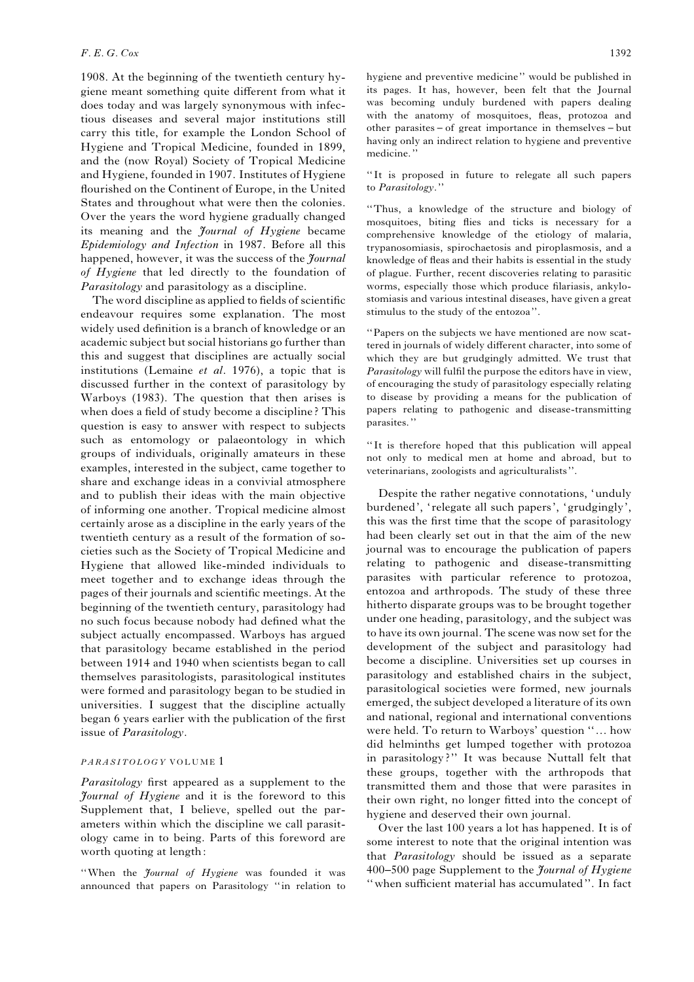1908. At the beginning of the twentieth century hygiene meant something quite different from what it does today and was largely synonymous with infectious diseases and several major institutions still carry this title, for example the London School of Hygiene and Tropical Medicine, founded in 1899, and the (now Royal) Society of Tropical Medicine and Hygiene, founded in 1907. Institutes of Hygiene flourished on the Continent of Europe, in the United States and throughout what were then the colonies. Over the years the word hygiene gradually changed its meaning and the *Journal of Hygiene* became Epidemiology and Infection in 1987. Before all this happened, however, it was the success of the *fournal* of Hygiene that led directly to the foundation of Parasitology and parasitology as a discipline.

The word discipline as applied to fields of scientific endeavour requires some explanation. The most widely used definition is a branch of knowledge or an academic subject but social historians go further than this and suggest that disciplines are actually social institutions (Lemaine et al. 1976), a topic that is discussed further in the context of parasitology by Warboys (1983). The question that then arises is when does a field of study become a discipline ? This question is easy to answer with respect to subjects such as entomology or palaeontology in which groups of individuals, originally amateurs in these examples, interested in the subject, came together to share and exchange ideas in a convivial atmosphere and to publish their ideas with the main objective of informing one another. Tropical medicine almost certainly arose as a discipline in the early years of the twentieth century as a result of the formation of societies such as the Society of Tropical Medicine and Hygiene that allowed like-minded individuals to meet together and to exchange ideas through the pages of their journals and scientific meetings. At the beginning of the twentieth century, parasitology had no such focus because nobody had defined what the subject actually encompassed. Warboys has argued that parasitology became established in the period between 1914 and 1940 when scientists began to call themselves parasitologists, parasitological institutes were formed and parasitology began to be studied in universities. I suggest that the discipline actually began 6 years earlier with the publication of the first issue of Parasitology.

#### PARASITOLOGY VOLUME 1

Parasitology first appeared as a supplement to the Journal of Hygiene and it is the foreword to this Supplement that, I believe, spelled out the parameters within which the discipline we call parasitology came in to being. Parts of this foreword are worth quoting at length:

''When the Journal of Hygiene was founded it was announced that papers on Parasitology ''in relation to

hygiene and preventive medicine'' would be published in its pages. It has, however, been felt that the Journal was becoming unduly burdened with papers dealing with the anatomy of mosquitoes, fleas, protozoa and other parasites – of great importance in themselves – but having only an indirect relation to hygiene and preventive medicine.''

''It is proposed in future to relegate all such papers to Parasitology.''

''Thus, a knowledge of the structure and biology of mosquitoes, biting flies and ticks is necessary for a comprehensive knowledge of the etiology of malaria, trypanosomiasis, spirochaetosis and piroplasmosis, and a knowledge of fleas and their habits is essential in the study of plague. Further, recent discoveries relating to parasitic worms, especially those which produce filariasis, ankylostomiasis and various intestinal diseases, have given a great stimulus to the study of the entozoa''.

''Papers on the subjects we have mentioned are now scattered in journals of widely different character, into some of which they are but grudgingly admitted. We trust that Parasitology will fulfil the purpose the editors have in view, of encouraging the study of parasitology especially relating to disease by providing a means for the publication of papers relating to pathogenic and disease-transmitting parasites.''

''It is therefore hoped that this publication will appeal not only to medical men at home and abroad, but to veterinarians, zoologists and agriculturalists''.

Despite the rather negative connotations, 'unduly burdened', ' relegate all such papers', 'grudgingly', this was the first time that the scope of parasitology had been clearly set out in that the aim of the new journal was to encourage the publication of papers relating to pathogenic and disease-transmitting parasites with particular reference to protozoa, entozoa and arthropods. The study of these three hitherto disparate groups was to be brought together under one heading, parasitology, and the subject was to have its own journal. The scene was now set for the development of the subject and parasitology had become a discipline. Universities set up courses in parasitology and established chairs in the subject, parasitological societies were formed, new journals emerged, the subject developed a literature of its own and national, regional and international conventions were held. To return to Warboys' question ''… how did helminths get lumped together with protozoa in parasitology ?'' It was because Nuttall felt that these groups, together with the arthropods that transmitted them and those that were parasites in their own right, no longer fitted into the concept of hygiene and deserved their own journal.

Over the last 100 years a lot has happened. It is of some interest to note that the original intention was that Parasitology should be issued as a separate 400–500 page Supplement to the Journal of Hygiene ''when sufficient material has accumulated''. In fact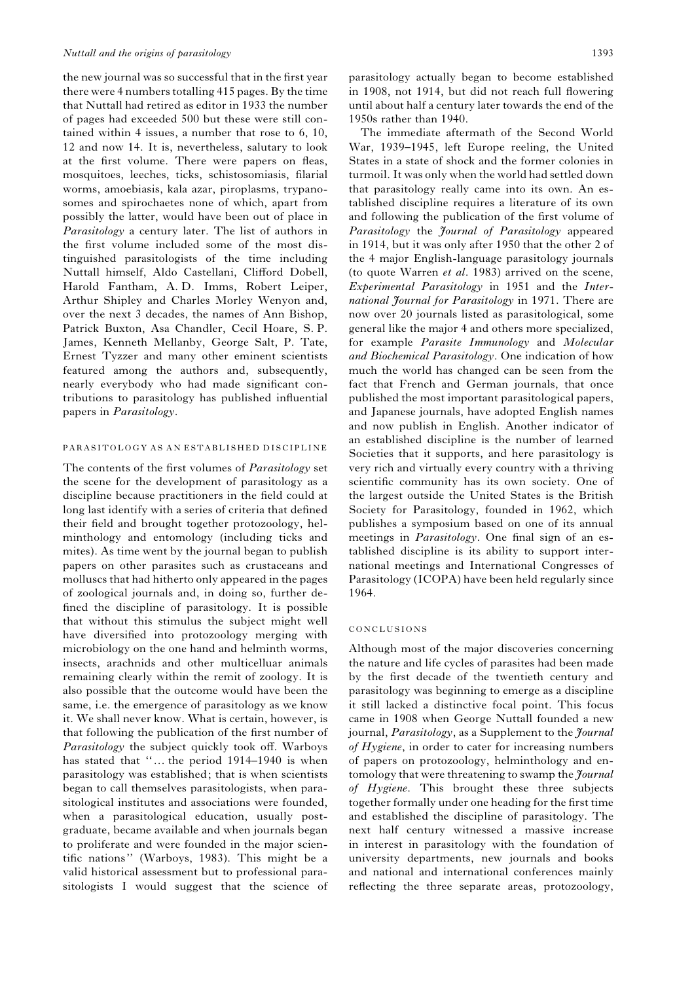#### Nuttall and the origins of parasitology 1393

the new journal was so successful that in the first year there were 4 numbers totalling 415 pages. By the time that Nuttall had retired as editor in 1933 the number of pages had exceeded 500 but these were still contained within 4 issues, a number that rose to 6, 10, 12 and now 14. It is, nevertheless, salutary to look at the first volume. There were papers on fleas, mosquitoes, leeches, ticks, schistosomiasis, filarial worms, amoebiasis, kala azar, piroplasms, trypanosomes and spirochaetes none of which, apart from possibly the latter, would have been out of place in Parasitology a century later. The list of authors in the first volume included some of the most distinguished parasitologists of the time including Nuttall himself, Aldo Castellani, Clifford Dobell, Harold Fantham, A. D. Imms, Robert Leiper, Arthur Shipley and Charles Morley Wenyon and, over the next 3 decades, the names of Ann Bishop, Patrick Buxton, Asa Chandler, Cecil Hoare, S. P. James, Kenneth Mellanby, George Salt, P. Tate, Ernest Tyzzer and many other eminent scientists featured among the authors and, subsequently, nearly everybody who had made significant contributions to parasitology has published influential papers in Parasitology.

#### PARASITOLOGY AS AN ESTABLISHED DISCIPLINE

The contents of the first volumes of Parasitology set the scene for the development of parasitology as a discipline because practitioners in the field could at long last identify with a series of criteria that defined their field and brought together protozoology, helminthology and entomology (including ticks and mites). As time went by the journal began to publish papers on other parasites such as crustaceans and molluscs that had hitherto only appeared in the pages of zoological journals and, in doing so, further defined the discipline of parasitology. It is possible that without this stimulus the subject might well have diversified into protozoology merging with microbiology on the one hand and helminth worms, insects, arachnids and other multicelluar animals remaining clearly within the remit of zoology. It is also possible that the outcome would have been the same, i.e. the emergence of parasitology as we know it. We shall never know. What is certain, however, is that following the publication of the first number of Parasitology the subject quickly took off. Warboys has stated that "... the period 1914–1940 is when parasitology was established; that is when scientists began to call themselves parasitologists, when parasitological institutes and associations were founded, when a parasitological education, usually postgraduate, became available and when journals began to proliferate and were founded in the major scientific nations'' (Warboys, 1983). This might be a valid historical assessment but to professional parasitologists I would suggest that the science of parasitology actually began to become established in 1908, not 1914, but did not reach full flowering until about half a century later towards the end of the 1950s rather than 1940.

The immediate aftermath of the Second World War, 1939–1945, left Europe reeling, the United States in a state of shock and the former colonies in turmoil. It was only when the world had settled down that parasitology really came into its own. An established discipline requires a literature of its own and following the publication of the first volume of Parasitology the Journal of Parasitology appeared in 1914, but it was only after 1950 that the other 2 of the 4 major English-language parasitology journals (to quote Warren et al. 1983) arrived on the scene, Experimental Parasitology in 1951 and the International Journal for Parasitology in 1971. There are now over 20 journals listed as parasitological, some general like the major 4 and others more specialized, for example Parasite Immunology and Molecular and Biochemical Parasitology. One indication of how much the world has changed can be seen from the fact that French and German journals, that once published the most important parasitological papers, and Japanese journals, have adopted English names and now publish in English. Another indicator of an established discipline is the number of learned Societies that it supports, and here parasitology is very rich and virtually every country with a thriving scientific community has its own society. One of the largest outside the United States is the British Society for Parasitology, founded in 1962, which publishes a symposium based on one of its annual meetings in Parasitology. One final sign of an established discipline is its ability to support international meetings and International Congresses of Parasitology (ICOPA) have been held regularly since 1964.

#### CONCLUSIONS

Although most of the major discoveries concerning the nature and life cycles of parasites had been made by the first decade of the twentieth century and parasitology was beginning to emerge as a discipline it still lacked a distinctive focal point. This focus came in 1908 when George Nuttall founded a new journal, Parasitology, as a Supplement to the *Journal* of  $Hygiene$ , in order to cater for increasing numbers of papers on protozoology, helminthology and entomology that were threatening to swamp the *fournal* of Hygiene. This brought these three subjects together formally under one heading for the first time and established the discipline of parasitology. The next half century witnessed a massive increase in interest in parasitology with the foundation of university departments, new journals and books and national and international conferences mainly reflecting the three separate areas, protozoology,